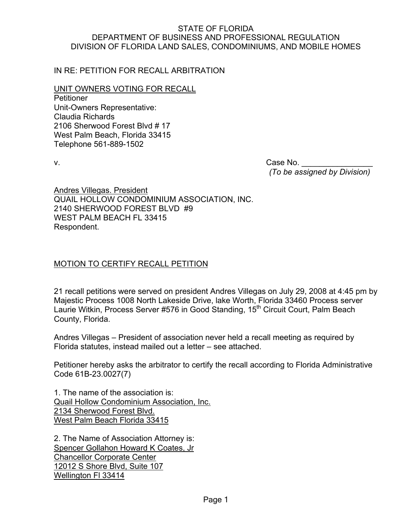## STATE OF FLORIDA DEPARTMENT OF BUSINESS AND PROFESSIONAL REGULATION DIVISION OF FLORIDA LAND SALES, CONDOMINIUMS, AND MOBILE HOMES

IN RE: PETITION FOR RECALL ARBITRATION

UNIT OWNERS VOTING FOR RECALL

**Petitioner** Unit-Owners Representative: Claudia Richards 2106 Sherwood Forest Blvd # 17 West Palm Beach, Florida 33415 Telephone 561-889-1502

v. Case No.  *(To be assigned by Division)* 

Andres Villegas. President QUAIL HOLLOW CONDOMINIUM ASSOCIATION, INC. 2140 SHERWOOD FOREST BLVD #9 WEST PALM BEACH FL 33415 Respondent.

## MOTION TO CERTIFY RECALL PETITION

21 recall petitions were served on president Andres Villegas on July 29, 2008 at 4:45 pm by Majestic Process 1008 North Lakeside Drive, lake Worth, Florida 33460 Process server Laurie Witkin, Process Server #576 in Good Standing, 15<sup>th</sup> Circuit Court, Palm Beach County, Florida.

Andres Villegas – President of association never held a recall meeting as required by Florida statutes, instead mailed out a letter – see attached.

Petitioner hereby asks the arbitrator to certify the recall according to Florida Administrative Code 61B-23.0027(7)

1. The name of the association is: Quail Hollow Condominium Association, Inc. 2134 Sherwood Forest Blvd. West Palm Beach Florida 33415

2. The Name of Association Attorney is: Spencer Gollahon Howard K Coates, Jr Chancellor Corporate Center 12012 S Shore Blvd, Suite 107 Wellington Fl 33414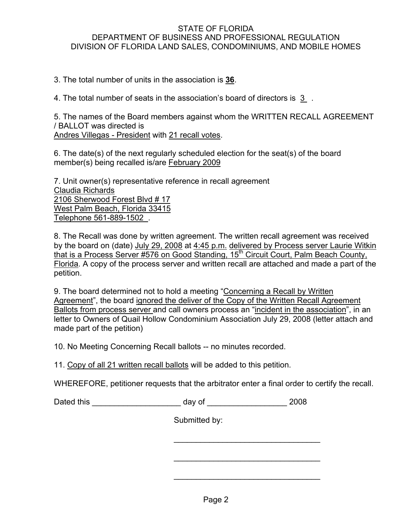## STATE OF FLORIDA DEPARTMENT OF BUSINESS AND PROFESSIONAL REGULATION DIVISION OF FLORIDA LAND SALES, CONDOMINIUMS, AND MOBILE HOMES

3. The total number of units in the association is **36**.

4. The total number of seats in the association's board of directors is 3 .

5. The names of the Board members against whom the WRITTEN RECALL AGREEMENT / BALLOT was directed is Andres Villegas - President with 21 recall votes.

6. The date(s) of the next regularly scheduled election for the seat(s) of the board member(s) being recalled is/are February 2009

7. Unit owner(s) representative reference in recall agreement Claudia Richards 2106 Sherwood Forest Blvd # 17 West Palm Beach, Florida 33415 Telephone 561-889-1502 .

8. The Recall was done by written agreement. The written recall agreement was received by the board on (date) July 29, 2008 at 4:45 p.m. delivered by Process server Laurie Witkin that is a Process Server #576 on Good Standing,  $15<sup>th</sup>$  Circuit Court, Palm Beach County, Florida. A copy of the process server and written recall are attached and made a part of the petition.

9. The board determined not to hold a meeting "Concerning a Recall by Written Agreement", the board ignored the deliver of the Copy of the Written Recall Agreement Ballots from process server and call owners process an "incident in the association", in an letter to Owners of Quail Hollow Condominium Association July 29, 2008 (letter attach and made part of the petition)

10. No Meeting Concerning Recall ballots -- no minutes recorded.

11. Copy of all 21 written recall ballots will be added to this petition.

WHEREFORE, petitioner requests that the arbitrator enter a final order to certify the recall.

Dated this and a control of the control of the control of the control of the control of the control of the control of the control of the control of the control of the control of the control of the control of the control of

 $\frac{1}{\sqrt{2}}$  ,  $\frac{1}{\sqrt{2}}$  ,  $\frac{1}{\sqrt{2}}$  ,  $\frac{1}{\sqrt{2}}$  ,  $\frac{1}{\sqrt{2}}$  ,  $\frac{1}{\sqrt{2}}$  ,  $\frac{1}{\sqrt{2}}$  ,  $\frac{1}{\sqrt{2}}$  ,  $\frac{1}{\sqrt{2}}$  ,  $\frac{1}{\sqrt{2}}$  ,  $\frac{1}{\sqrt{2}}$  ,  $\frac{1}{\sqrt{2}}$  ,  $\frac{1}{\sqrt{2}}$  ,  $\frac{1}{\sqrt{2}}$  ,  $\frac{1}{\sqrt{2}}$ 

 $\frac{1}{\sqrt{2}}$  ,  $\frac{1}{\sqrt{2}}$  ,  $\frac{1}{\sqrt{2}}$  ,  $\frac{1}{\sqrt{2}}$  ,  $\frac{1}{\sqrt{2}}$  ,  $\frac{1}{\sqrt{2}}$  ,  $\frac{1}{\sqrt{2}}$  ,  $\frac{1}{\sqrt{2}}$  ,  $\frac{1}{\sqrt{2}}$  ,  $\frac{1}{\sqrt{2}}$  ,  $\frac{1}{\sqrt{2}}$  ,  $\frac{1}{\sqrt{2}}$  ,  $\frac{1}{\sqrt{2}}$  ,  $\frac{1}{\sqrt{2}}$  ,  $\frac{1}{\sqrt{2}}$ 

 $\mathcal{L}_\text{max} = \frac{1}{2} \sum_{i=1}^{n} \frac{1}{2} \sum_{i=1}^{n} \frac{1}{2} \sum_{i=1}^{n} \frac{1}{2} \sum_{i=1}^{n} \frac{1}{2} \sum_{i=1}^{n} \frac{1}{2} \sum_{i=1}^{n} \frac{1}{2} \sum_{i=1}^{n} \frac{1}{2} \sum_{i=1}^{n} \frac{1}{2} \sum_{i=1}^{n} \frac{1}{2} \sum_{i=1}^{n} \frac{1}{2} \sum_{i=1}^{n} \frac{1}{2} \sum_{i=1}^{n} \frac{1$ 

Submitted by: